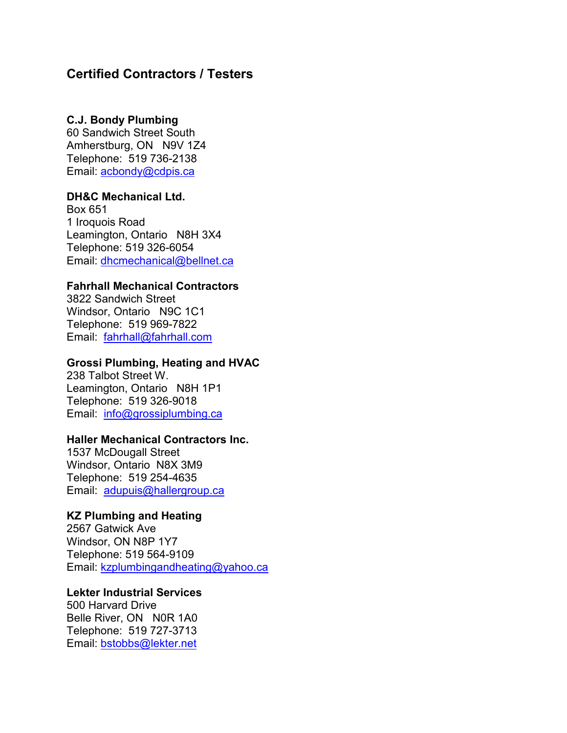# **Certified Contractors / Testers**

### **C.J. Bondy Plumbing**

 Amherstburg, ON N9V 1Z4 Telephone: 519 736-2138 60 Sandwich Street South Email: acbondy@cdpis.ca

## **DH&C Mechanical Ltd.**

 Leamington, Ontario N8H 3X4 Box 651 1 Iroquois Road Telephone: 519 326-6054 Email: [dhcmechanical@bellnet.ca](mailto:dhcmechanical@bellnet.ca) 

## **Fahrhall Mechanical Contractors**

 Windsor, Ontario N9C 1C1 Telephone: 519 969-7822 Email: <u>fahrhall@fahrhall.com</u> 3822 Sandwich Street

### **Grossi Plumbing, Heating and HVAC**

 Leamington, Ontario N8H 1P1 Telephone: 519 326-9018 Email: <u>info@grossiplumbing.ca</u> 238 Talbot Street W.

# **Haller Mechanical Contractors Inc.**

 Windsor, Ontario N8X 3M9 Telephone: 519 254-4635 Email: <u>adupuis@hallergroup.ca</u> 1537 McDougall Street

# **KZ Plumbing and Heating**

2567 Gatwick Ave Windsor, ON N8P 1Y7 Telephone: 519 564-9109 Email: [kzplumbingandheating@yahoo.ca](mailto:kzplumbingandheating@yahoo.ca) 

## **Lekter Industrial Services**

 Belle River, ON N0R 1A0 Telephone: 519 727-3713 500 Harvard Drive Email: [bstobbs@lekter.net](mailto:bstobbs@lekter.net)